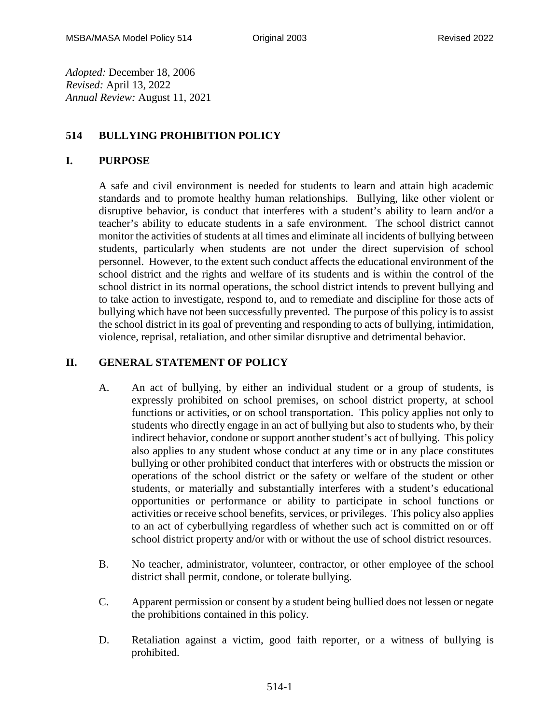*Adopted:* December 18, 2006 *Revised:* April 13, 2022 *Annual Review:* August 11, 2021

### **514 BULLYING PROHIBITION POLICY**

#### **I. PURPOSE**

A safe and civil environment is needed for students to learn and attain high academic standards and to promote healthy human relationships. Bullying, like other violent or disruptive behavior, is conduct that interferes with a student's ability to learn and/or a teacher's ability to educate students in a safe environment. The school district cannot monitor the activities of students at all times and eliminate all incidents of bullying between students, particularly when students are not under the direct supervision of school personnel. However, to the extent such conduct affects the educational environment of the school district and the rights and welfare of its students and is within the control of the school district in its normal operations, the school district intends to prevent bullying and to take action to investigate, respond to, and to remediate and discipline for those acts of bullying which have not been successfully prevented. The purpose of this policy is to assist the school district in its goal of preventing and responding to acts of bullying, intimidation, violence, reprisal, retaliation, and other similar disruptive and detrimental behavior.

### **II. GENERAL STATEMENT OF POLICY**

- A. An act of bullying, by either an individual student or a group of students, is expressly prohibited on school premises, on school district property, at school functions or activities, or on school transportation. This policy applies not only to students who directly engage in an act of bullying but also to students who, by their indirect behavior, condone or support another student's act of bullying. This policy also applies to any student whose conduct at any time or in any place constitutes bullying or other prohibited conduct that interferes with or obstructs the mission or operations of the school district or the safety or welfare of the student or other students, or materially and substantially interferes with a student's educational opportunities or performance or ability to participate in school functions or activities or receive school benefits, services, or privileges. This policy also applies to an act of cyberbullying regardless of whether such act is committed on or off school district property and/or with or without the use of school district resources.
- B. No teacher, administrator, volunteer, contractor, or other employee of the school district shall permit, condone, or tolerate bullying.
- C. Apparent permission or consent by a student being bullied does not lessen or negate the prohibitions contained in this policy.
- D. Retaliation against a victim, good faith reporter, or a witness of bullying is prohibited.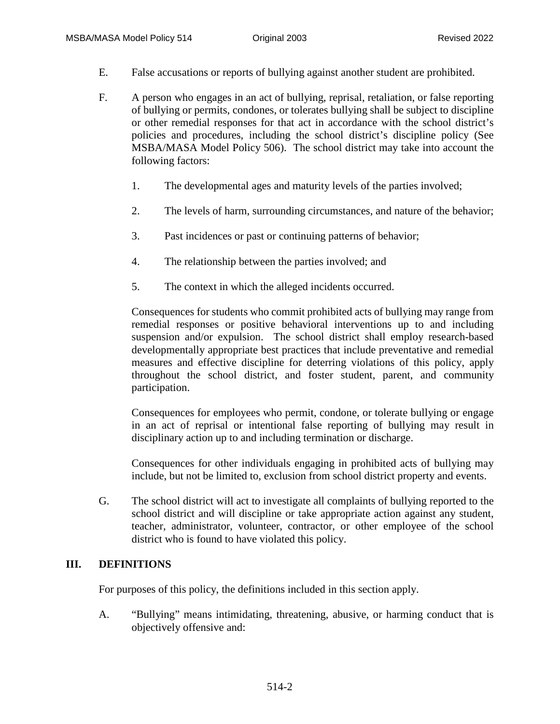- E. False accusations or reports of bullying against another student are prohibited.
- F. A person who engages in an act of bullying, reprisal, retaliation, or false reporting of bullying or permits, condones, or tolerates bullying shall be subject to discipline or other remedial responses for that act in accordance with the school district's policies and procedures, including the school district's discipline policy (See MSBA/MASA Model Policy 506). The school district may take into account the following factors:
	- 1. The developmental ages and maturity levels of the parties involved;
	- 2. The levels of harm, surrounding circumstances, and nature of the behavior;
	- 3. Past incidences or past or continuing patterns of behavior;
	- 4. The relationship between the parties involved; and
	- 5. The context in which the alleged incidents occurred.

Consequences for students who commit prohibited acts of bullying may range from remedial responses or positive behavioral interventions up to and including suspension and/or expulsion. The school district shall employ research-based developmentally appropriate best practices that include preventative and remedial measures and effective discipline for deterring violations of this policy, apply throughout the school district, and foster student, parent, and community participation.

Consequences for employees who permit, condone, or tolerate bullying or engage in an act of reprisal or intentional false reporting of bullying may result in disciplinary action up to and including termination or discharge.

Consequences for other individuals engaging in prohibited acts of bullying may include, but not be limited to, exclusion from school district property and events.

G. The school district will act to investigate all complaints of bullying reported to the school district and will discipline or take appropriate action against any student, teacher, administrator, volunteer, contractor, or other employee of the school district who is found to have violated this policy.

#### **III. DEFINITIONS**

For purposes of this policy, the definitions included in this section apply.

A. "Bullying" means intimidating, threatening, abusive, or harming conduct that is objectively offensive and: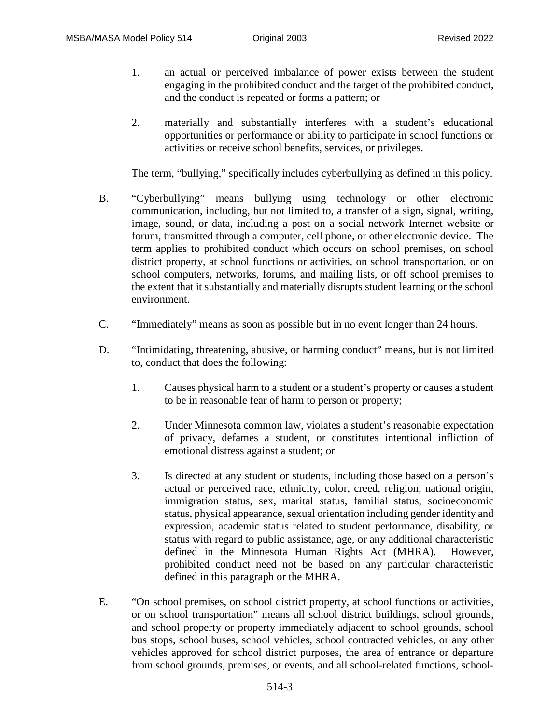- 1. an actual or perceived imbalance of power exists between the student engaging in the prohibited conduct and the target of the prohibited conduct, and the conduct is repeated or forms a pattern; or
- 2. materially and substantially interferes with a student's educational opportunities or performance or ability to participate in school functions or activities or receive school benefits, services, or privileges.

The term, "bullying," specifically includes cyberbullying as defined in this policy.

- B. "Cyberbullying" means bullying using technology or other electronic communication, including, but not limited to, a transfer of a sign, signal, writing, image, sound, or data, including a post on a social network Internet website or forum, transmitted through a computer, cell phone, or other electronic device. The term applies to prohibited conduct which occurs on school premises, on school district property, at school functions or activities, on school transportation, or on school computers, networks, forums, and mailing lists, or off school premises to the extent that it substantially and materially disrupts student learning or the school environment.
- C. "Immediately" means as soon as possible but in no event longer than 24 hours.
- D. "Intimidating, threatening, abusive, or harming conduct" means, but is not limited to, conduct that does the following:
	- 1. Causes physical harm to a student or a student's property or causes a student to be in reasonable fear of harm to person or property;
	- 2. Under Minnesota common law, violates a student's reasonable expectation of privacy, defames a student, or constitutes intentional infliction of emotional distress against a student; or
	- 3. Is directed at any student or students, including those based on a person's actual or perceived race, ethnicity, color, creed, religion, national origin, immigration status, sex, marital status, familial status, socioeconomic status, physical appearance, sexual orientation including gender identity and expression, academic status related to student performance, disability, or status with regard to public assistance, age, or any additional characteristic defined in the Minnesota Human Rights Act (MHRA). However, prohibited conduct need not be based on any particular characteristic defined in this paragraph or the MHRA.
- E. "On school premises, on school district property, at school functions or activities, or on school transportation" means all school district buildings, school grounds, and school property or property immediately adjacent to school grounds, school bus stops, school buses, school vehicles, school contracted vehicles, or any other vehicles approved for school district purposes, the area of entrance or departure from school grounds, premises, or events, and all school-related functions, school-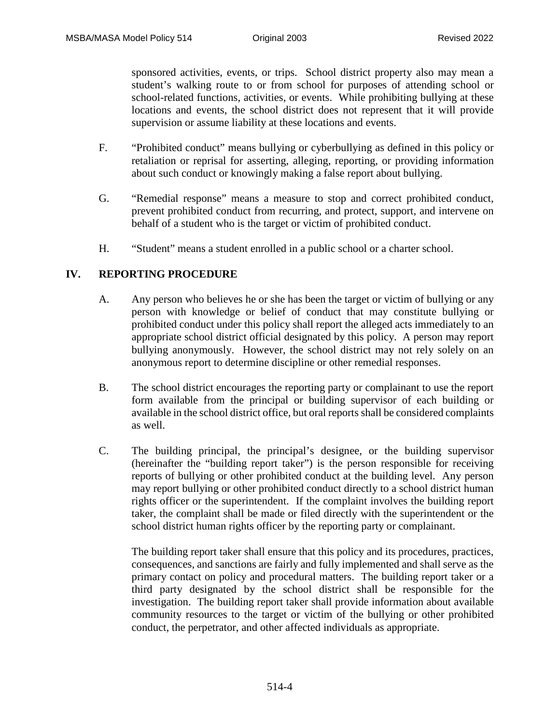sponsored activities, events, or trips. School district property also may mean a student's walking route to or from school for purposes of attending school or school-related functions, activities, or events. While prohibiting bullying at these locations and events, the school district does not represent that it will provide supervision or assume liability at these locations and events.

- F. "Prohibited conduct" means bullying or cyberbullying as defined in this policy or retaliation or reprisal for asserting, alleging, reporting, or providing information about such conduct or knowingly making a false report about bullying.
- G. "Remedial response" means a measure to stop and correct prohibited conduct, prevent prohibited conduct from recurring, and protect, support, and intervene on behalf of a student who is the target or victim of prohibited conduct.
- H. "Student" means a student enrolled in a public school or a charter school.

#### **IV. REPORTING PROCEDURE**

- A. Any person who believes he or she has been the target or victim of bullying or any person with knowledge or belief of conduct that may constitute bullying or prohibited conduct under this policy shall report the alleged acts immediately to an appropriate school district official designated by this policy. A person may report bullying anonymously. However, the school district may not rely solely on an anonymous report to determine discipline or other remedial responses.
- B. The school district encourages the reporting party or complainant to use the report form available from the principal or building supervisor of each building or available in the school district office, but oral reports shall be considered complaints as well.
- C. The building principal, the principal's designee, or the building supervisor (hereinafter the "building report taker") is the person responsible for receiving reports of bullying or other prohibited conduct at the building level. Any person may report bullying or other prohibited conduct directly to a school district human rights officer or the superintendent. If the complaint involves the building report taker, the complaint shall be made or filed directly with the superintendent or the school district human rights officer by the reporting party or complainant.

The building report taker shall ensure that this policy and its procedures, practices, consequences, and sanctions are fairly and fully implemented and shall serve as the primary contact on policy and procedural matters. The building report taker or a third party designated by the school district shall be responsible for the investigation. The building report taker shall provide information about available community resources to the target or victim of the bullying or other prohibited conduct, the perpetrator, and other affected individuals as appropriate.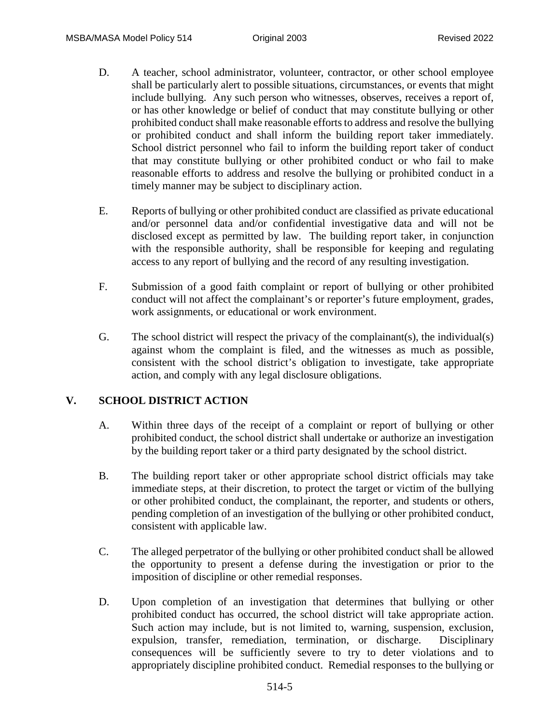- D. A teacher, school administrator, volunteer, contractor, or other school employee shall be particularly alert to possible situations, circumstances, or events that might include bullying. Any such person who witnesses, observes, receives a report of, or has other knowledge or belief of conduct that may constitute bullying or other prohibited conduct shall make reasonable efforts to address and resolve the bullying or prohibited conduct and shall inform the building report taker immediately. School district personnel who fail to inform the building report taker of conduct that may constitute bullying or other prohibited conduct or who fail to make reasonable efforts to address and resolve the bullying or prohibited conduct in a timely manner may be subject to disciplinary action.
- E. Reports of bullying or other prohibited conduct are classified as private educational and/or personnel data and/or confidential investigative data and will not be disclosed except as permitted by law. The building report taker, in conjunction with the responsible authority, shall be responsible for keeping and regulating access to any report of bullying and the record of any resulting investigation.
- F. Submission of a good faith complaint or report of bullying or other prohibited conduct will not affect the complainant's or reporter's future employment, grades, work assignments, or educational or work environment.
- G. The school district will respect the privacy of the complainant(s), the individual(s) against whom the complaint is filed, and the witnesses as much as possible, consistent with the school district's obligation to investigate, take appropriate action, and comply with any legal disclosure obligations.

#### **V. SCHOOL DISTRICT ACTION**

- A. Within three days of the receipt of a complaint or report of bullying or other prohibited conduct, the school district shall undertake or authorize an investigation by the building report taker or a third party designated by the school district.
- B. The building report taker or other appropriate school district officials may take immediate steps, at their discretion, to protect the target or victim of the bullying or other prohibited conduct, the complainant, the reporter, and students or others, pending completion of an investigation of the bullying or other prohibited conduct, consistent with applicable law.
- C. The alleged perpetrator of the bullying or other prohibited conduct shall be allowed the opportunity to present a defense during the investigation or prior to the imposition of discipline or other remedial responses.
- D. Upon completion of an investigation that determines that bullying or other prohibited conduct has occurred, the school district will take appropriate action. Such action may include, but is not limited to, warning, suspension, exclusion, expulsion, transfer, remediation, termination, or discharge. Disciplinary consequences will be sufficiently severe to try to deter violations and to appropriately discipline prohibited conduct. Remedial responses to the bullying or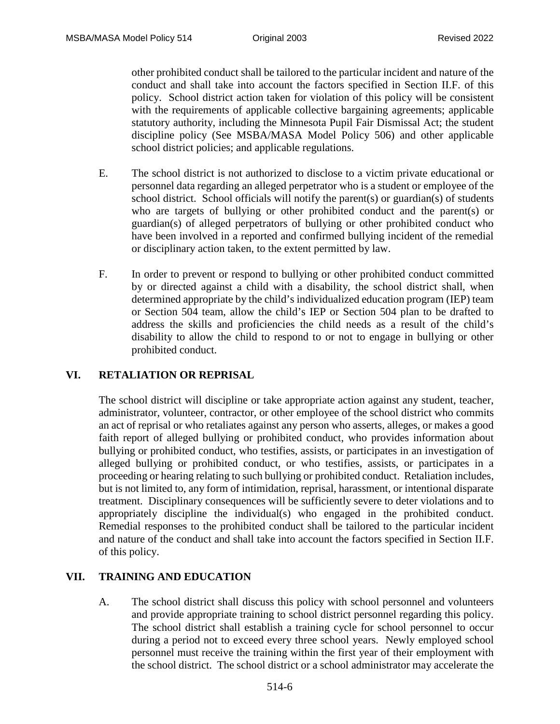other prohibited conduct shall be tailored to the particular incident and nature of the conduct and shall take into account the factors specified in Section II.F. of this policy. School district action taken for violation of this policy will be consistent with the requirements of applicable collective bargaining agreements; applicable statutory authority, including the Minnesota Pupil Fair Dismissal Act; the student discipline policy (See MSBA/MASA Model Policy 506) and other applicable school district policies; and applicable regulations.

- E. The school district is not authorized to disclose to a victim private educational or personnel data regarding an alleged perpetrator who is a student or employee of the school district. School officials will notify the parent(s) or guardian(s) of students who are targets of bullying or other prohibited conduct and the parent(s) or guardian(s) of alleged perpetrators of bullying or other prohibited conduct who have been involved in a reported and confirmed bullying incident of the remedial or disciplinary action taken, to the extent permitted by law.
- F. In order to prevent or respond to bullying or other prohibited conduct committed by or directed against a child with a disability, the school district shall, when determined appropriate by the child's individualized education program (IEP) team or Section 504 team, allow the child's IEP or Section 504 plan to be drafted to address the skills and proficiencies the child needs as a result of the child's disability to allow the child to respond to or not to engage in bullying or other prohibited conduct.

## **VI. RETALIATION OR REPRISAL**

The school district will discipline or take appropriate action against any student, teacher, administrator, volunteer, contractor, or other employee of the school district who commits an act of reprisal or who retaliates against any person who asserts, alleges, or makes a good faith report of alleged bullying or prohibited conduct, who provides information about bullying or prohibited conduct, who testifies, assists, or participates in an investigation of alleged bullying or prohibited conduct, or who testifies, assists, or participates in a proceeding or hearing relating to such bullying or prohibited conduct. Retaliation includes, but is not limited to, any form of intimidation, reprisal, harassment, or intentional disparate treatment. Disciplinary consequences will be sufficiently severe to deter violations and to appropriately discipline the individual(s) who engaged in the prohibited conduct. Remedial responses to the prohibited conduct shall be tailored to the particular incident and nature of the conduct and shall take into account the factors specified in Section II.F. of this policy.

#### **VII. TRAINING AND EDUCATION**

A. The school district shall discuss this policy with school personnel and volunteers and provide appropriate training to school district personnel regarding this policy. The school district shall establish a training cycle for school personnel to occur during a period not to exceed every three school years. Newly employed school personnel must receive the training within the first year of their employment with the school district. The school district or a school administrator may accelerate the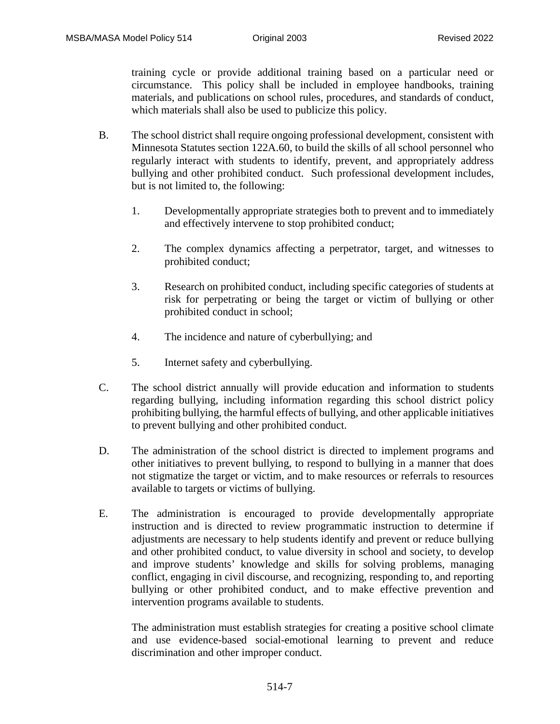training cycle or provide additional training based on a particular need or circumstance. This policy shall be included in employee handbooks, training materials, and publications on school rules, procedures, and standards of conduct, which materials shall also be used to publicize this policy.

- B. The school district shall require ongoing professional development, consistent with Minnesota Statutes section 122A.60, to build the skills of all school personnel who regularly interact with students to identify, prevent, and appropriately address bullying and other prohibited conduct. Such professional development includes, but is not limited to, the following:
	- 1. Developmentally appropriate strategies both to prevent and to immediately and effectively intervene to stop prohibited conduct;
	- 2. The complex dynamics affecting a perpetrator, target, and witnesses to prohibited conduct;
	- 3. Research on prohibited conduct, including specific categories of students at risk for perpetrating or being the target or victim of bullying or other prohibited conduct in school;
	- 4. The incidence and nature of cyberbullying; and
	- 5. Internet safety and cyberbullying.
- C. The school district annually will provide education and information to students regarding bullying, including information regarding this school district policy prohibiting bullying, the harmful effects of bullying, and other applicable initiatives to prevent bullying and other prohibited conduct.
- D. The administration of the school district is directed to implement programs and other initiatives to prevent bullying, to respond to bullying in a manner that does not stigmatize the target or victim, and to make resources or referrals to resources available to targets or victims of bullying.
- E. The administration is encouraged to provide developmentally appropriate instruction and is directed to review programmatic instruction to determine if adjustments are necessary to help students identify and prevent or reduce bullying and other prohibited conduct, to value diversity in school and society, to develop and improve students' knowledge and skills for solving problems, managing conflict, engaging in civil discourse, and recognizing, responding to, and reporting bullying or other prohibited conduct, and to make effective prevention and intervention programs available to students.

The administration must establish strategies for creating a positive school climate and use evidence-based social-emotional learning to prevent and reduce discrimination and other improper conduct.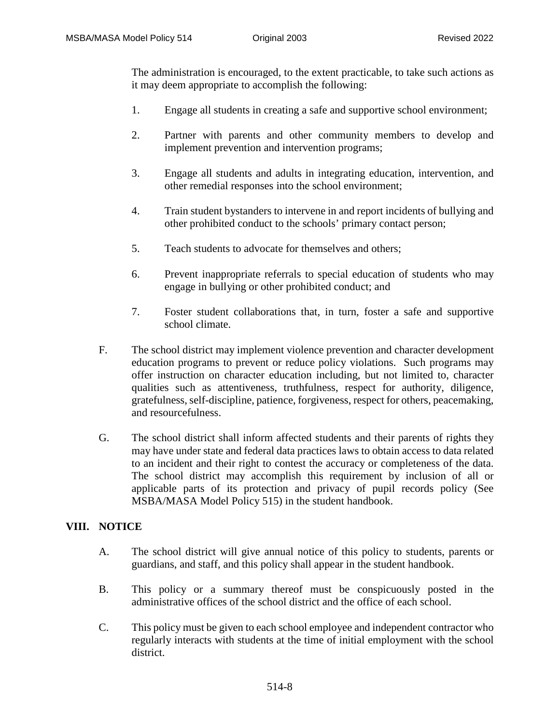The administration is encouraged, to the extent practicable, to take such actions as it may deem appropriate to accomplish the following:

- 1. Engage all students in creating a safe and supportive school environment;
- 2. Partner with parents and other community members to develop and implement prevention and intervention programs;
- 3. Engage all students and adults in integrating education, intervention, and other remedial responses into the school environment;
- 4. Train student bystanders to intervene in and report incidents of bullying and other prohibited conduct to the schools' primary contact person;
- 5. Teach students to advocate for themselves and others;
- 6. Prevent inappropriate referrals to special education of students who may engage in bullying or other prohibited conduct; and
- 7. Foster student collaborations that, in turn, foster a safe and supportive school climate.
- F. The school district may implement violence prevention and character development education programs to prevent or reduce policy violations. Such programs may offer instruction on character education including, but not limited to, character qualities such as attentiveness, truthfulness, respect for authority, diligence, gratefulness, self-discipline, patience, forgiveness, respect for others, peacemaking, and resourcefulness.
- G. The school district shall inform affected students and their parents of rights they may have under state and federal data practices laws to obtain access to data related to an incident and their right to contest the accuracy or completeness of the data. The school district may accomplish this requirement by inclusion of all or applicable parts of its protection and privacy of pupil records policy (See MSBA/MASA Model Policy 515) in the student handbook.

## **VIII. NOTICE**

- A. The school district will give annual notice of this policy to students, parents or guardians, and staff, and this policy shall appear in the student handbook.
- B. This policy or a summary thereof must be conspicuously posted in the administrative offices of the school district and the office of each school.
- C. This policy must be given to each school employee and independent contractor who regularly interacts with students at the time of initial employment with the school district.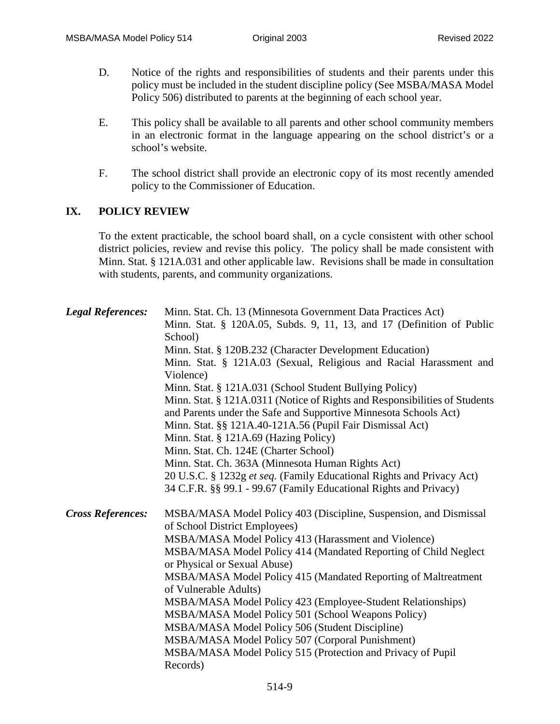- D. Notice of the rights and responsibilities of students and their parents under this policy must be included in the student discipline policy (See MSBA/MASA Model Policy 506) distributed to parents at the beginning of each school year.
- E. This policy shall be available to all parents and other school community members in an electronic format in the language appearing on the school district's or a school's website.
- F. The school district shall provide an electronic copy of its most recently amended policy to the Commissioner of Education.

# **IX. POLICY REVIEW**

To the extent practicable, the school board shall, on a cycle consistent with other school district policies, review and revise this policy. The policy shall be made consistent with Minn. Stat. § 121A.031 and other applicable law. Revisions shall be made in consultation with students, parents, and community organizations.

| <b>Legal References:</b> | Minn. Stat. Ch. 13 (Minnesota Government Data Practices Act)<br>Minn. Stat. § 120A.05, Subds. 9, 11, 13, and 17 (Definition of Public<br>School)<br>Minn. Stat. § 120B.232 (Character Development Education)<br>Minn. Stat. § 121A.03 (Sexual, Religious and Racial Harassment and<br>Violence)<br>Minn. Stat. § 121A.031 (School Student Bullying Policy)<br>Minn. Stat. § 121A.0311 (Notice of Rights and Responsibilities of Students<br>and Parents under the Safe and Supportive Minnesota Schools Act)<br>Minn. Stat. §§ 121A.40-121A.56 (Pupil Fair Dismissal Act)<br>Minn. Stat. $\S$ 121A.69 (Hazing Policy)<br>Minn. Stat. Ch. 124E (Charter School)<br>Minn. Stat. Ch. 363A (Minnesota Human Rights Act)<br>20 U.S.C. § 1232g et seq. (Family Educational Rights and Privacy Act)<br>34 C.F.R. §§ 99.1 - 99.67 (Family Educational Rights and Privacy) |
|--------------------------|-------------------------------------------------------------------------------------------------------------------------------------------------------------------------------------------------------------------------------------------------------------------------------------------------------------------------------------------------------------------------------------------------------------------------------------------------------------------------------------------------------------------------------------------------------------------------------------------------------------------------------------------------------------------------------------------------------------------------------------------------------------------------------------------------------------------------------------------------------------------|
| <b>Cross References:</b> | MSBA/MASA Model Policy 403 (Discipline, Suspension, and Dismissal<br>of School District Employees)<br>MSBA/MASA Model Policy 413 (Harassment and Violence)<br>MSBA/MASA Model Policy 414 (Mandated Reporting of Child Neglect<br>or Physical or Sexual Abuse)<br>MSBA/MASA Model Policy 415 (Mandated Reporting of Maltreatment<br>of Vulnerable Adults)<br>MSBA/MASA Model Policy 423 (Employee-Student Relationships)<br>MSBA/MASA Model Policy 501 (School Weapons Policy)<br>MSBA/MASA Model Policy 506 (Student Discipline)<br>MSBA/MASA Model Policy 507 (Corporal Punishment)<br>MSBA/MASA Model Policy 515 (Protection and Privacy of Pupil<br>Records)                                                                                                                                                                                                   |